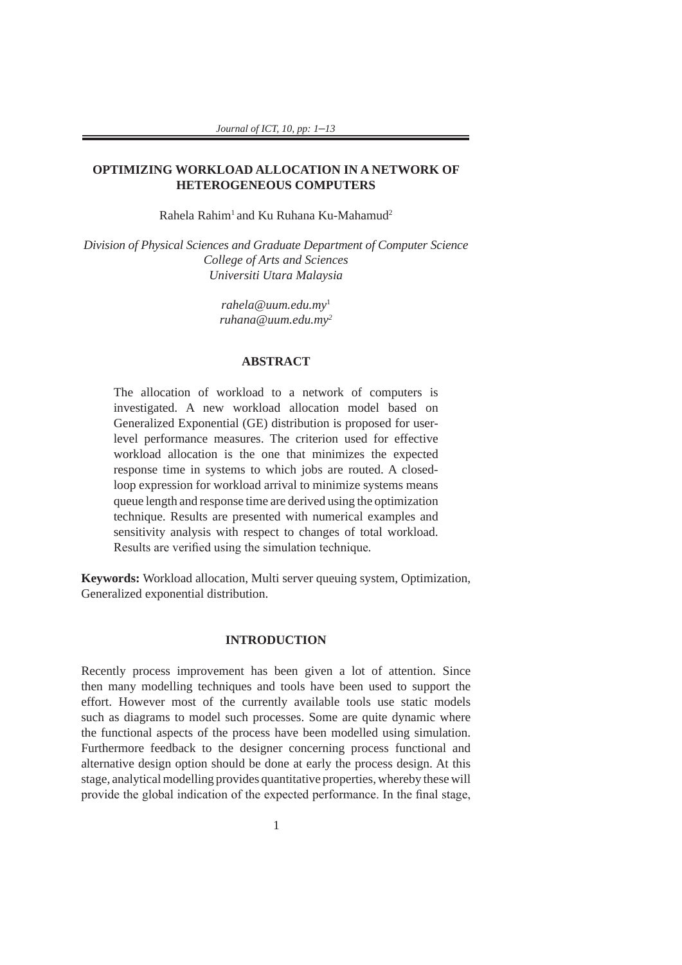# **OPTIMIZING WORKLOAD ALLOCATION IN A NETWORK OF HETEROGENEOUS COMPUTERS**

Rahela Rahim<sup>1</sup> and Ku Ruhana Ku-Mahamud<sup>2</sup>

*Division of Physical Sciences and Graduate Department of Computer Science College of Arts and Sciences Universiti Utara Malaysia*

> *rahela@uum.edu.my*<sup>1</sup> *ruhana@uum.edu.my2*

# **ABSTRACT**

The allocation of workload to a network of computers is investigated. A new workload allocation model based on Generalized Exponential (GE) distribution is proposed for userlevel performance measures. The criterion used for effective workload allocation is the one that minimizes the expected response time in systems to which jobs are routed. A closedloop expression for workload arrival to minimize systems means queue length and response time are derived using the optimization technique. Results are presented with numerical examples and sensitivity analysis with respect to changes of total workload. Results are verified using the simulation technique*.* 

**Keywords:** Workload allocation, Multi server queuing system, Optimization, Generalized exponential distribution.

#### **INTRODUCTION**

Recently process improvement has been given a lot of attention. Since then many modelling techniques and tools have been used to support the effort. However most of the currently available tools use static models such as diagrams to model such processes. Some are quite dynamic where the functional aspects of the process have been modelled using simulation. Furthermore feedback to the designer concerning process functional and alternative design option should be done at early the process design. At this stage, analytical modelling provides quantitative properties, whereby these will provide the global indication of the expected performance. In the final stage,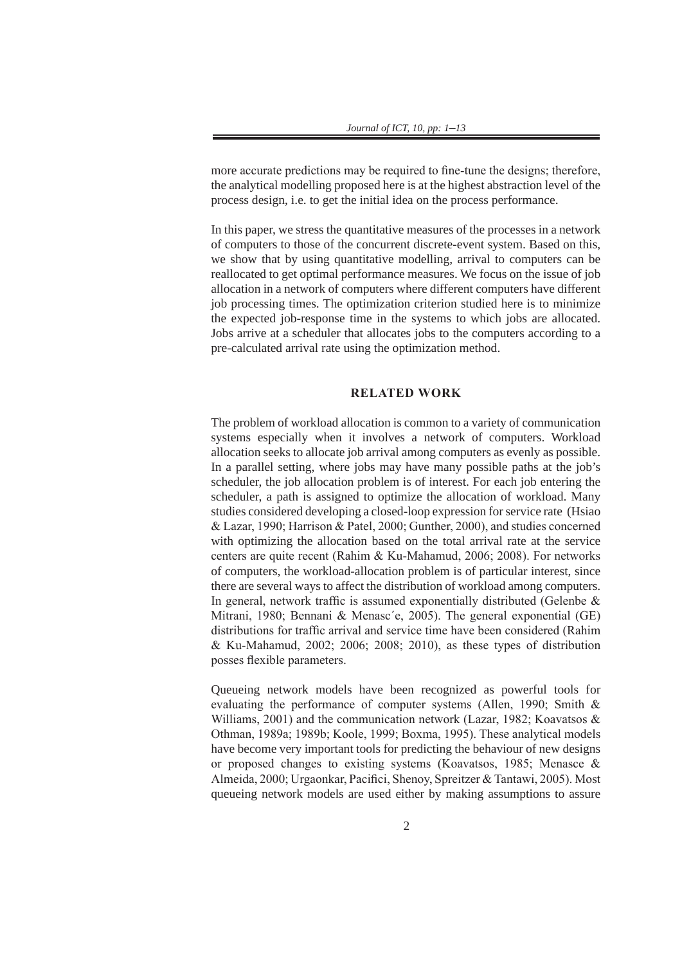more accurate predictions may be required to fine-tune the designs; therefore, the analytical modelling proposed here is at the highest abstraction level of the process design, i.e. to get the initial idea on the process performance.

In this paper, we stress the quantitative measures of the processes in a network of computers to those of the concurrent discrete-event system. Based on this, we show that by using quantitative modelling, arrival to computers can be reallocated to get optimal performance measures. We focus on the issue of job allocation in a network of computers where different computers have different job processing times. The optimization criterion studied here is to minimize the expected job-response time in the systems to which jobs are allocated. Jobs arrive at a scheduler that allocates jobs to the computers according to a pre-calculated arrival rate using the optimization method.

### **RELATED WORK**

The problem of workload allocation is common to a variety of communication systems especially when it involves a network of computers. Workload allocation seeks to allocate job arrival among computers as evenly as possible. In a parallel setting, where jobs may have many possible paths at the job's scheduler, the job allocation problem is of interest. For each job entering the scheduler, a path is assigned to optimize the allocation of workload. Many studies considered developing a closed-loop expression for service rate (Hsiao & Lazar, 1990; Harrison & Patel, 2000; Gunther, 2000), and studies concerned with optimizing the allocation based on the total arrival rate at the service centers are quite recent (Rahim & Ku-Mahamud, 2006; 2008). For networks of computers, the workload-allocation problem is of particular interest, since there are several ways to affect the distribution of workload among computers. In general, network traffic is assumed exponentially distributed (Gelenbe  $\&$ Mitrani, 1980; Bennani & Menasc´e, 2005). The general exponential (GE) distributions for traffic arrival and service time have been considered (Rahim & Ku-Mahamud, 2002; 2006; 2008; 2010), as these types of distribution posses flexible parameters.

Queueing network models have been recognized as powerful tools for evaluating the performance of computer systems (Allen, 1990; Smith & Williams, 2001) and the communication network (Lazar, 1982; Koavatsos & Othman, 1989a; 1989b; Koole, 1999; Boxma, 1995). These analytical models have become very important tools for predicting the behaviour of new designs or proposed changes to existing systems (Koavatsos, 1985; Menasce & Almeida, 2000; Urgaonkar, Pacifici, Shenoy, Spreitzer & Tantawi, 2005). Most queueing network models are used either by making assumptions to assure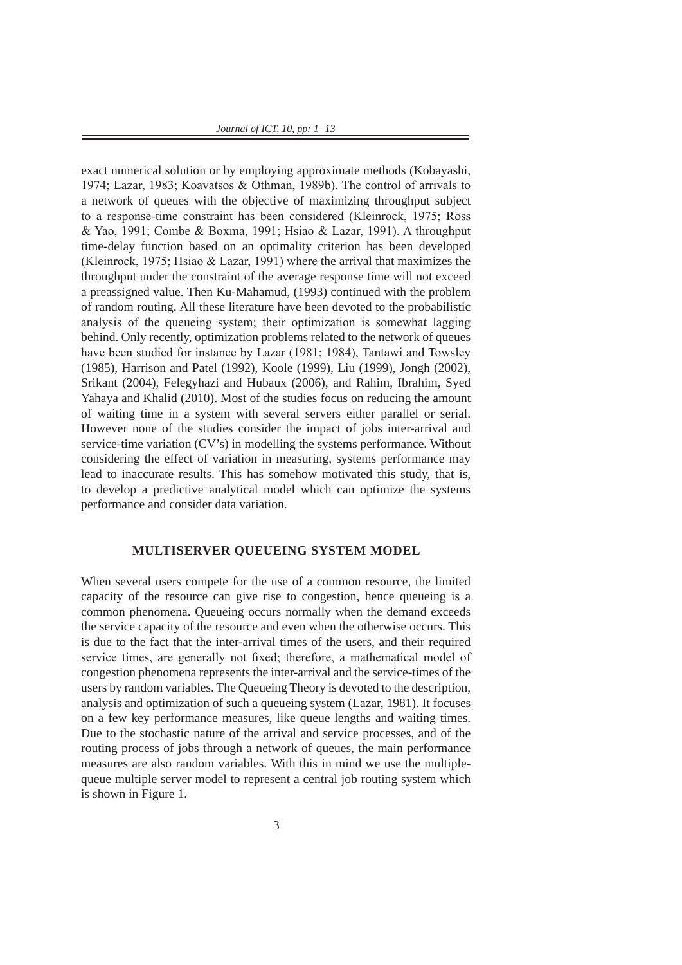*Journal of ICT, 10, pp: 1*–*13*

exact numerical solution or by employing approximate methods (Kobayashi, 1974; Lazar, 1983; Koavatsos & Othman, 1989b). The control of arrivals to a network of queues with the objective of maximizing throughput subject to a response-time constraint has been considered (Kleinrock, 1975; Ross & Yao, 1991; Combe & Boxma, 1991; Hsiao & Lazar, 1991). A throughput time-delay function based on an optimality criterion has been developed (Kleinrock, 1975; Hsiao & Lazar, 1991) where the arrival that maximizes the throughput under the constraint of the average response time will not exceed a preassigned value. Then Ku-Mahamud, (1993) continued with the problem of random routing. All these literature have been devoted to the probabilistic analysis of the queueing system; their optimization is somewhat lagging behind. Only recently, optimization problems related to the network of queues have been studied for instance by Lazar (1981; 1984), Tantawi and Towsley (1985), Harrison and Patel (1992), Koole (1999), Liu (1999), Jongh (2002), Srikant (2004), Felegyhazi and Hubaux (2006), and Rahim, Ibrahim, Syed Yahaya and Khalid (2010). Most of the studies focus on reducing the amount of waiting time in a system with several servers either parallel or serial. However none of the studies consider the impact of jobs inter-arrival and service-time variation (CV's) in modelling the systems performance. Without considering the effect of variation in measuring, systems performance may lead to inaccurate results. This has somehow motivated this study, that is, to develop a predictive analytical model which can optimize the systems performance and consider data variation.

### **MULTISERVER QUEUEING SYSTEM MODEL**

When several users compete for the use of a common resource, the limited capacity of the resource can give rise to congestion, hence queueing is a common phenomena. Queueing occurs normally when the demand exceeds the service capacity of the resource and even when the otherwise occurs. This is due to the fact that the inter-arrival times of the users, and their required service times, are generally not fixed; therefore, a mathematical model of congestion phenomena represents the inter-arrival and the service-times of the users by random variables. The Queueing Theory is devoted to the description, analysis and optimization of such a queueing system (Lazar, 1981). It focuses on a few key performance measures, like queue lengths and waiting times. Due to the stochastic nature of the arrival and service processes, and of the routing process of jobs through a network of queues, the main performance measures are also random variables. With this in mind we use the multiplequeue multiple server model to represent a central job routing system which is shown in Figure 1.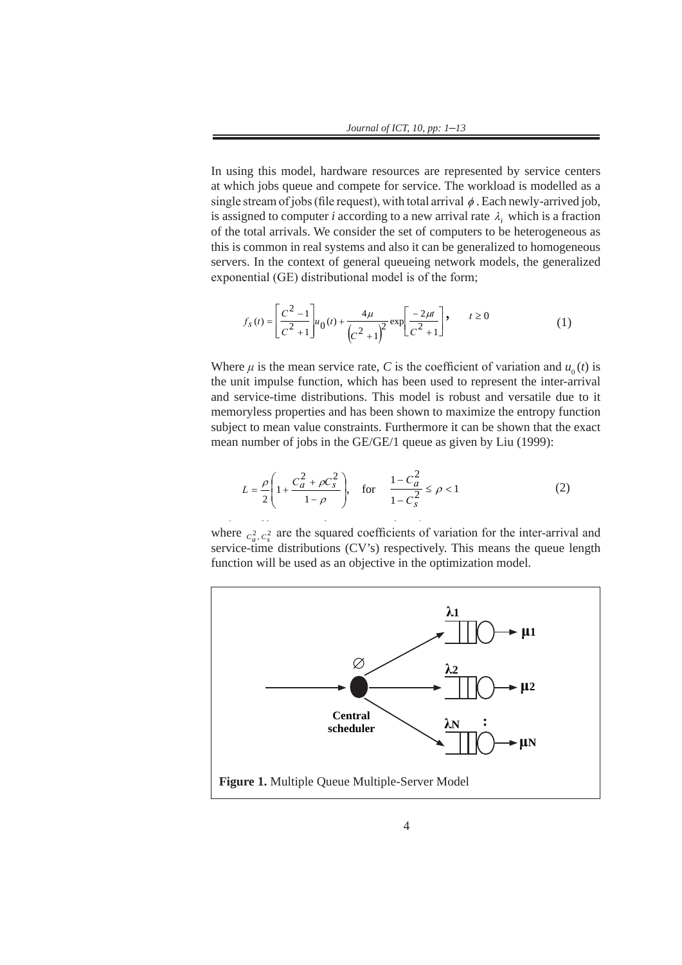In using this model, hardware resources are represented by service centers at which jobs queue and which jobs queue and which jobs queue and which jobs queue and which jobs queue and which jobs queue and which jobs queue a In using this model, hardware resources are represented by service centers at which jobs queue and compete for service. The workload is modelled as a at which jobs queue and complete for service. The workload is inducted as a single stream of jobs (file request), with total arrival  $\phi$ . Each newly-arrived job, is assigned to computer *i* according to a new arrival rate  $\lambda_i$  which is a fraction of the total arrivals. We consider the set of computers to be heterogeneous as this is common in real systems and also it can be generalized to homogeneous servers. In the context of general queueing network models, the generalized exponential (GE) distributional model is of the form; of the total affixats. We consider the servers. In the context of general queling network models, the generalized

$$
f_{s}(t) = \left[\frac{C^{2}-1}{C^{2}+1}\right]u_{0}(t) + \frac{4\mu}{\left(C^{2}+1\right)^{2}}\exp\left[\frac{-2\mu t}{C^{2}+1}\right], \qquad t \ge 0
$$
\n(1)

Where  $\mu$  is the mean service rate, *C* is the coefficient of variation and  $u_0(t)$  is the unit impulse function, which has been used to represent the inter errival the unit impulse function, which has been used to represent the inter-arrival and service-time distributions. This model is robust and versatile due to it memoryless properties and has been shown to maximize the entropy function subject to mean value constraints. Furthermore it can be shown that the exact mean  $\frac{1}{10000}$ mean number of jobs in the GE/GE/1 queue as given by Liu (1999): memoryless properties and has been shown to maximize the entropy function<br>subject to mean value constraints. Furthermore it can be shown that the exact subject to mean value constraints. Furthermore it can be shown that the exact mean number of jobs in the GE/GE/1 queue as given by Liu  $(1999)$ :  $\frac{1}{2}$  $\frac{1}{\sqrt{2}}$  is can be shown that the exact mean number of  $\frac{1}{\sqrt{2}}$ 

$$
L = \frac{\rho}{2} \left( 1 + \frac{C_a^2 + \rho C_s^2}{1 - \rho} \right), \quad \text{for} \quad \frac{1 - C_a^2}{1 - C_s^2} \le \rho < 1 \tag{2}
$$

where  $c_a^2$ ,  $c_s^2$  are the squared coefficients of variation for the inter-arrival and service-time distributions (CV's) respectively. This means the queue length function will be used as an objective in the optimization model. optimization model. where  $c_a^2$ ,  $c_s^2$  are the squared coefficients of variation for the inter-arrival and

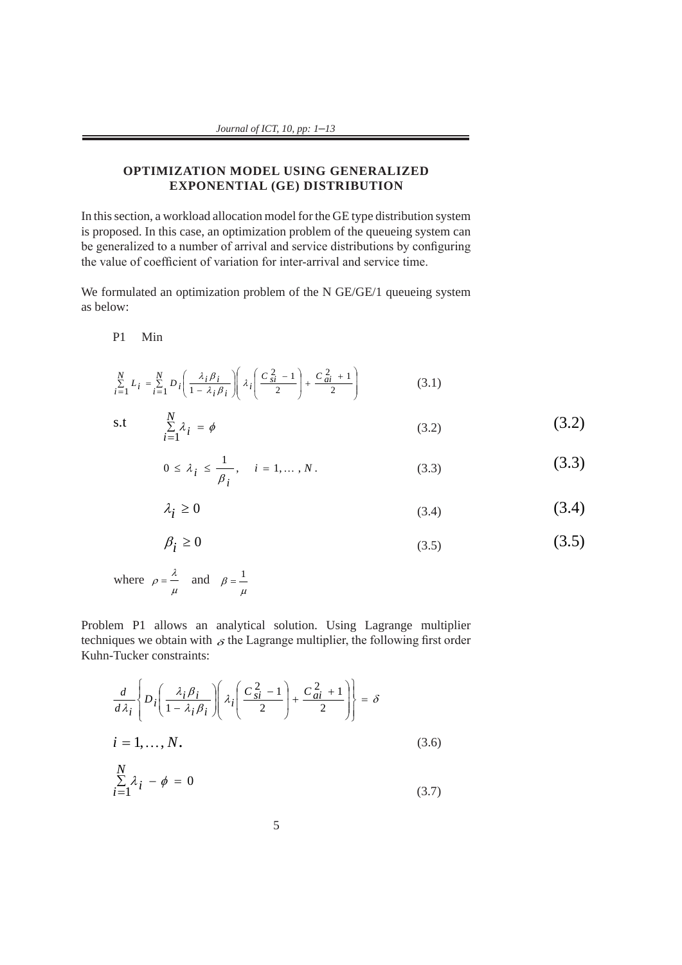# **OPTIMIZATION MODEL USING GENERALIZED EXPONENTIAL (GE) DISTRIBUTION**

In this section, a workload allocation model for the GE type distribution system In this section, a workload allocation model for the GE type distribution system<br>is proposed. In this case, an optimization problem of the queueing system can be generalized to a number of arrival and service distributions by configuring the value of coefficient of variation for inter-arrival and service time.

We formulated an optimization problem of the N GE/GE/1 queueing system as below: *N*  $W_0$  formulat P1 Min  $\frac{1}{2}$   $\frac{1}{2}$   $\frac{1}{2}$   $\frac{1}{2}$   $\frac{1}{2}$   $\frac{1}{2}$   $\frac{1}{2}$   $\frac{1}{2}$   $\frac{1}{2}$   $\frac{1}{2}$   $\frac{1}{2}$   $\frac{1}{2}$   $\frac{1}{2}$   $\frac{1}{2}$   $\frac{1}{2}$   $\frac{1}{2}$   $\frac{1}{2}$   $\frac{1}{2}$   $\frac{1}{2}$   $\frac{1}{2}$   $\frac{1}{2}$   $\frac{1}{2}$  as below:

P1 Min  $\mathbf{p}$  minimal matrix  $\mathbf{p}$ P1 Min  $21$  Min *i M*in **11** *M*  $\mathbf{D1}$   $\mathbf{M}_{in}$ *<i>i*  $\overline{L}$  *i*  $\overline{L}$  *i*  $\overline{L}$  *i*  $\overline{L}$  *i*  $\overline{L}$  *i*  $\overline{L}$  *i*  $\overline{L}$  *i*  $\overline{L}$  *i*  $\overline{L}$  *i*  $\overline{L}$  *i*  $\overline{L}$  *i*  $\overline{L}$  *i*  $\overline{L}$  *i*  $\overline{L}$  *i*  $\overline{L}$  *i*  $\overline{L}$  *i*  $\overline{$ 

$$
\sum_{i=1}^{N} L_i = \sum_{i=1}^{N} D_i \left( \frac{\lambda_i \beta_i}{1 - \lambda_i \beta_i} \right) \left( \lambda_i \left( \frac{C_{si}^2 - 1}{2} \right) + \frac{C_{ai}^2 + 1}{2} \right) \tag{3.1}
$$

$$
s.t
$$

$$
\text{s.t} \quad \sum_{i=1}^{N} \lambda_i = \phi \tag{3.2}
$$

$$
0 \le \lambda_i \le \frac{1}{\beta_i}, \quad i = 1, ..., N.
$$
 (3.3)

$$
\lambda_i \ge 0 \tag{3.4}
$$

$$
\beta_i \ge 0 \tag{3.5}
$$

where  $\rho = \frac{\lambda}{\rho}$  and  $=\frac{\lambda}{\pi}$  and  $\mu$ where  $\rho = \frac{\lambda}{\rho}$  and  $\beta = \frac{1}{\rho}$  $\mu$  $ho = \frac{\lambda}{\rho}$  and  $\frac{\lambda}{\phantom{1}}$  and  $\beta = \frac{1}{\phantom{1}}$ 

Problem P1 allows an analytical solution. Using Lagrange multiplier techniques we obtain with  $\delta$  the Lagrange multiplier, the following first order Kuhn-Tucker constraints:

We formulated an optimization problem of the N GE/GE/1 queueing system  
\nas below:  
\nP1 Min  
\n
$$
\sum_{i=1}^{N} L_i = \sum_{i=1}^{N} p_i \left( \frac{\lambda_i \beta_i}{1 - \lambda_i \beta_i} \right) \left( \lambda_i \left( \frac{C_0^2 - 1}{2} \right) + \frac{C_0^2 + 1}{2} \right)
$$
\n(3.1)  
\n5.1  
\n
$$
\sum_{i=1}^{N} \lambda_i = \phi
$$
\n(3.2)  
\n0  $\leq \lambda_i \leq \frac{1}{\beta_i}$ ,  $i = 1,..., N$ .  
\n(3.3)  
\n $\lambda_i \geq 0$ \n(3.4)  
\n $\beta_i \geq 0$ \n(3.5)  
\nwhere  $\rho = \frac{\lambda}{\mu}$  and  $\beta = \frac{1}{\mu}$   
\nProblem P1 allows an analytical solution. Using Lagrange multiplier  
\ntechriques we obtain  $\lambda_i$ , *g* the Lagrange multiplier, the following first order  
\nKuhn-Tucker constraints:  
\n
$$
\frac{d}{d\lambda_i} \left\{ p_i \left( \frac{\lambda_i \beta_i}{1 - \lambda_i \beta_i} \right) \left( \lambda_i \left( \frac{C_0^2 - 1}{2} \right) + \frac{C_0^2 + 1}{2} \right) \right\} = \delta
$$
  
\n $i = 1,..., N$ .  
\n(3.6)  
\n
$$
\sum_{i=1}^{N} \lambda_i - \phi = 0
$$
\n(3.7)

$$
\sum_{i=1}^{N} \lambda_i - \phi = 0 \tag{3.7}
$$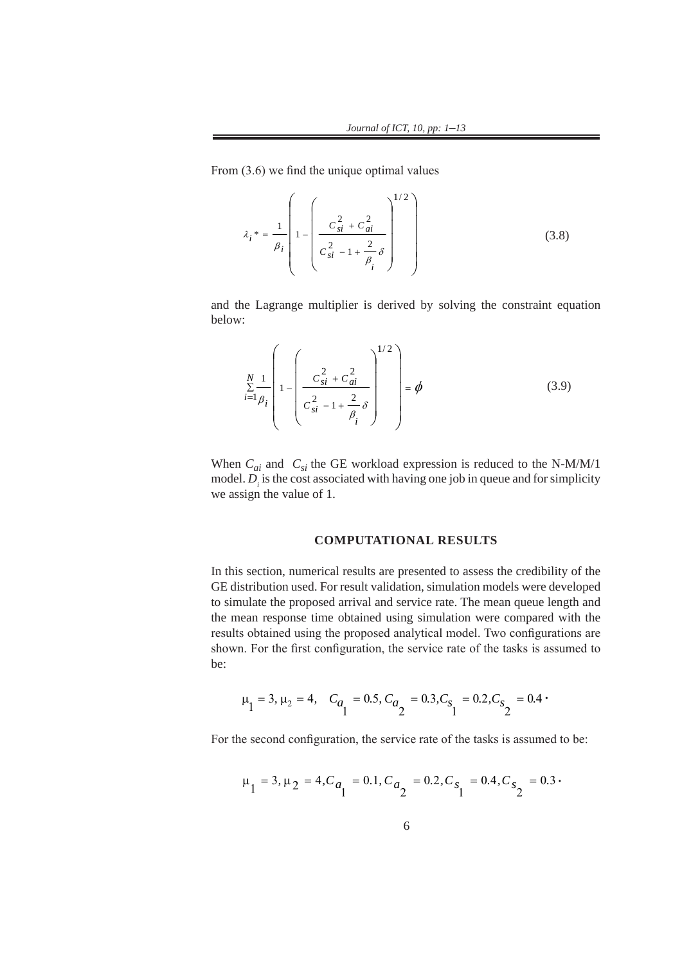From (3.6) we find the unique optimal values

$$
\lambda_i^* = \frac{1}{\beta_i} \left( 1 - \left( \frac{c_{si}^2 + c_{ai}^2}{c_{si}^2 - 1 + \frac{2}{\beta_i} \delta} \right)^{1/2} \right)
$$
(3.8)

and the Lagrange multiplier is derived by solving the constraint equation below:  $\sum_{n=1}^{\infty}$  below:

$$
\sum_{i=1}^{N} \frac{1}{\beta_i} \left( 1 - \left( \frac{c_{si}^2 + c_{ai}^2}{c_{si}^2 - 1 + \frac{2}{\beta_i} \delta} \right)^{1/2} \right) = \phi
$$
\n(3.9)

When  $C_{ai}$  and  $C_{si}$  the GE workload expression is reduced to the N-M/M/1 model.  $D_i$  is the cost associated with having one job in queue and for simplicity we assign the value of 1. we assign the value of 1. when  $C_{ai}$  and  $C_{si}$  the GE workload expression is reduced to the N-M/M/1 model. *D* is the cost associated with having one job in queue and for simplicity

#### **COMPUTATIONAL RESULTS**

In this section, numerical results are presented to assess the credibility of the GE distribution used. For result validation, simulation models were developed to simulate the proposed arrival and service rate. The mean queue length and the mean response time obtained using simulation were compared with the mean testing device the means of and the mean response time obtained using simulation were compared with the means of and the mean response of an and results obtained using the proposed analytical model. Two configurations are results obtained using the proposed analytical model. Two configurations are shown. For the first configuration, the service rate of the tasks is assumed to be:  $\mathcal{C}$  configuration, the service rate of the tasks is assumed to be: In this section, numerical results are presented to assess the credibility of the credibility of the compared with the General view of the General view of the General view of the General view of the General view of the Gen

$$
\mu_1 = 3
$$
,  $\mu_2 = 4$ ,  $C_{a_1} = 0.5$ ,  $C_{a_2} = 0.3$ ,  $C_{s_1} = 0.2$ ,  $C_{s_2} = 0.4$ .

For the second configuration, the service rate of the tasks is assumed to be: For the second configuration, the service rate of the tasks is assumed to be: 2 1 2 1

$$
\mu_1 = 3
$$
,  $\mu_2 = 4$ ,  $C_{a_1} = 0.1$ ,  $C_{a_2} = 0.2$ ,  $C_{s_1} = 0.4$ ,  $C_{s_2} = 0.3$ .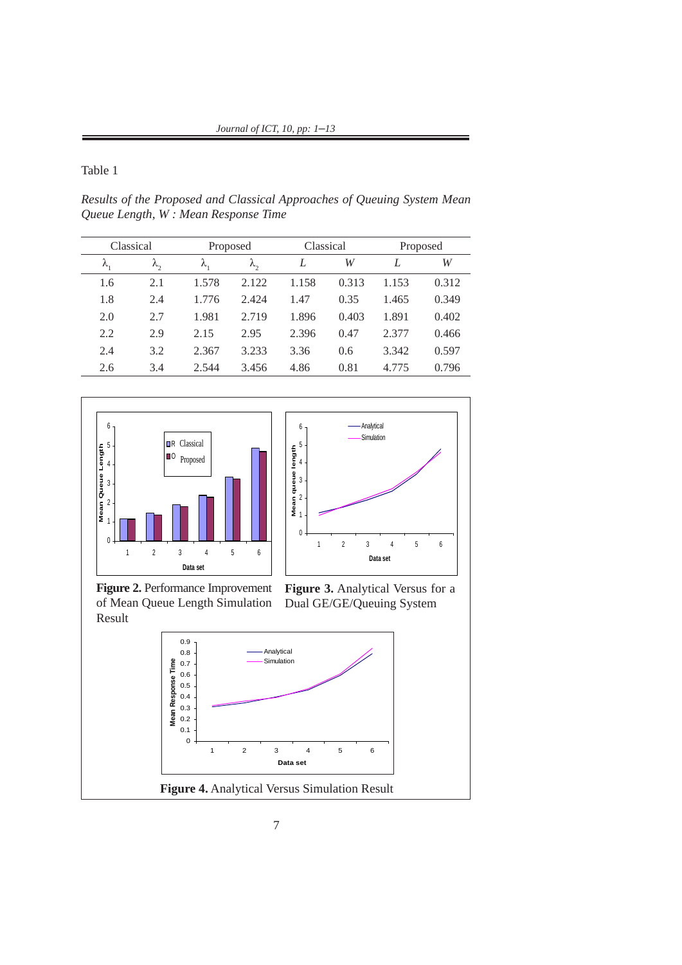Table 1

**Data set**

Results of the Proposed and Classical Approaches of Queuing System Mean *Queue Length, W : Mean Response Time* 0.9 0.5 **m**<br>V<br>—

| Classical   |           | Proposed |            | Classical |       | Proposed |       |
|-------------|-----------|----------|------------|-----------|-------|----------|-------|
| $\lambda$ , | $\lambda$ | λ,       | $\lambda,$ | L         | W     | L        | W     |
| 1.6         | 2.1       | 1.578    | 2.122      | 1.158     | 0.313 | 1.153    | 0.312 |
| 1.8         | 2.4       | 1.776    | 2.424      | 1.47      | 0.35  | 1.465    | 0.349 |
| 2.0         | 2.7       | 1.981    | 2.719      | 1.896     | 0.403 | 1.891    | 0.402 |
| 2.2         | 2.9       | 2.15     | 2.95       | 2.396     | 0.47  | 2.377    | 0.466 |
| 2.4         | 3.2       | 2.367    | 3.233      | 3.36      | 0.6   | 3.342    | 0.597 |
| 2.6         | 3.4       | 2.544    | 3.456      | 4.86      | 0.81  | 4.775    | 0.796 |



Result **Figure 2.** Performance Improvement of Mean Queue Length Simulation

t Figure 3. Analytical Versus for a Dual GE/GE/Queuing System

1 2 3 4 5 6

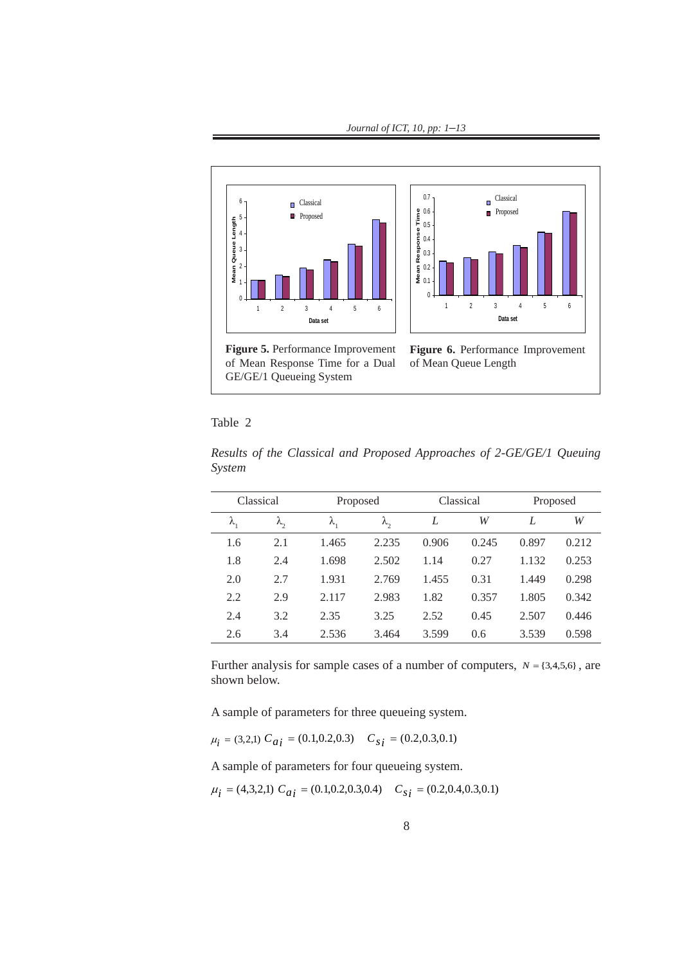*Journal of ICT, 10, pp: 1–13* 0  $10, 1$ 



Table 2

| Classical     |             | Proposed    |           | Classical |       | Proposed |       |
|---------------|-------------|-------------|-----------|-----------|-------|----------|-------|
| $\lambda_{1}$ | $\lambda$ , | $\lambda$ , | $\lambda$ | L         | W     | L        | W     |
| 1.6           | 2.1         | 1.465       | 2.235     | 0.906     | 0.245 | 0.897    | 0.212 |
| 1.8           | 2.4         | 1.698       | 2.502     | 1.14      | 0.27  | 1.132    | 0.253 |
| 2.0           | 2.7         | 1.931       | 2.769     | 1.455     | 0.31  | 1.449    | 0.298 |
| 2.2           | 2.9         | 2.117       | 2.983     | 1.82      | 0.357 | 1.805    | 0.342 |
| 2.4           | 3.2         | 2.35        | 3.25      | 2.52      | 0.45  | 2.507    | 0.446 |
| 2.6           | 3.4         | 2.536       | 3.464     | 3.599     | 0.6   | 3.539    | 0.598 |

Results of the Classical and Proposed Approaches of 2-GE/GE/1 Queuing *System* ts of the Classical and Proposed Approaches of 2-G

Further analysis for sample cases of a number of computers,  $N = \{3,4,5,6\}$ , are shown below.

A sample of parameters for three queueing system. A sample of parameters for three queueing system. A sample of parameters for three queueing system.

$$
\mu_i = (3,2,1) C_{ai} = (0.1,0.2,0.3) C_{si} = (0.2,0.3,0.1)
$$

A sample of parameters for four queueing system. A sample of parameters for four queueing system. A sample of parameters for four queueing system.

$$
\mu_i = (4,3,2,1) C_{ai} = (0.1,0.2,0.3,0.4) C_{si} = (0.2,0.4,0.3,0.1)
$$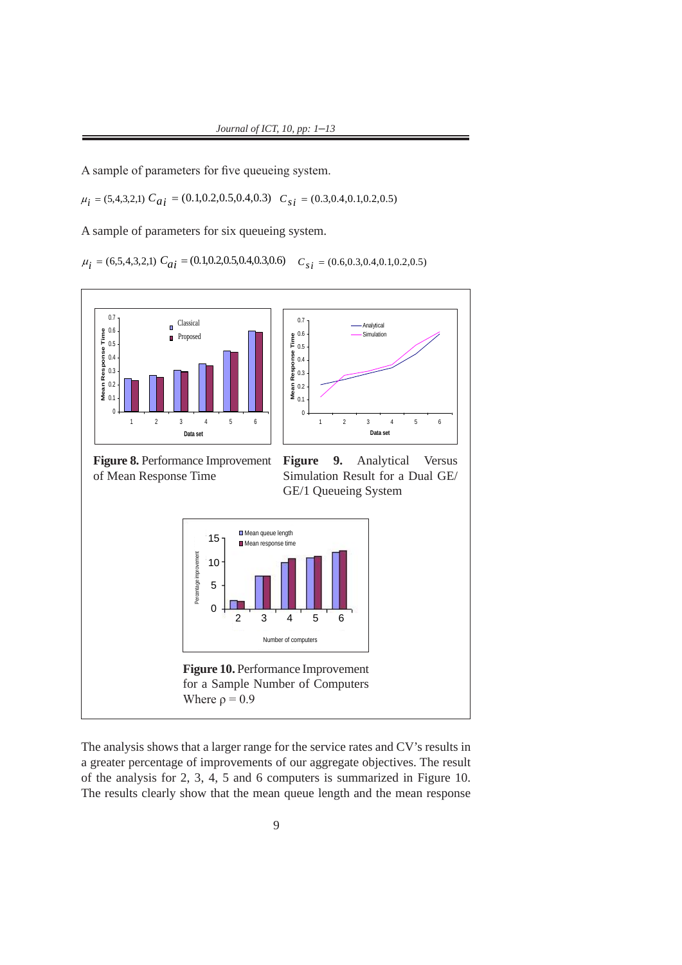A sample of parameters for five queueing system. A sample of parameters for five queueing system. A sample of parameters for five queueing system.  $\overline{A}$  sample of parameters A sample of parameters for five queu  $\blacksquare$ 

0.8

 $\mu_i = (5,4,3,2,1)$   $C_{ai} = (0.1,0.2,0.5,0.4,0.3)$   $C_{si} = (0.3,0.4,0.1,0.2,0.5)$  $\mu_i = (5,4,3,2,1) \cdot C_{ai} = (0.1,0.2,0.3,0.4,0.3) \cdot C_{Si}$ **Mean queue length** 1 t<br>(1 **Mean Queue Length**  $\mathbf{r}_i = (\mathbf{0})$  $l$ : **Mean Response Time**

A sample of parameters for six queueing system. A sample of parameters for six queueing system. A sample of parameters for six queueing system. A sample of parameters for six queueing system. 1 comple of perceptors for six quousing susta iipie of parameters for

> $\mu_i = (6,5,4,3,2,1) C_{ai} = (0.1,0.2,0.5,0.4,0.3,0.6) C_{si} = (0.6,0.3,0.4,0.1,0.2,0.5)$  $\cdots$   $\cdots$   $\cdots$   $\cdots$   $\cdots$   $\cdots$   $\cdots$   $\cdots$   $\cdots$   $\cdots$   $\cdots$   $\cdots$   $\cdots$   $\cdots$   $\cdots$   $\cdots$   $\cdots$   $\cdots$   $\cdots$   $\cdots$   $\cdots$   $\cdots$   $\cdots$   $\cdots$   $\cdots$   $\cdots$   $\cdots$   $\cdots$   $\cdots$   $\cdots$   $\cdots$   $\cdots$   $\cdots$   $\cdots$   $\cdots$   $\cdots$   $\cdots$



The analysis shows that a larger range for the service rates and CV's results in a greater percentage of improvements of our aggregate objectives. The result of the analysis for 2, 3, 4, 5 and 6 computers is summarized in Figure 10. The results clearly show that the mean queue length and the mean response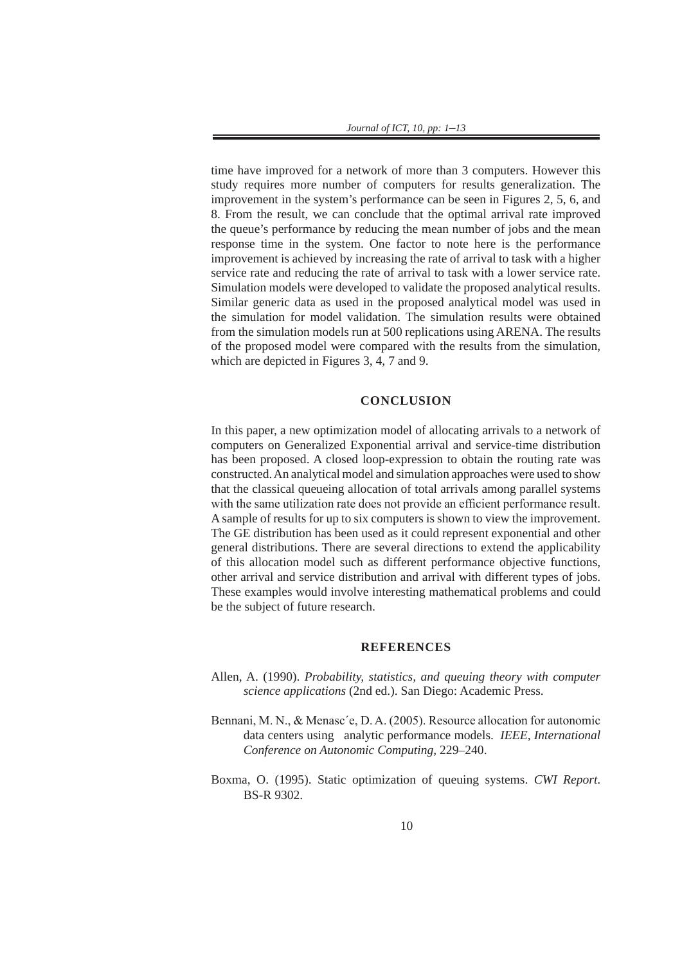*Journal of ICT, 10, pp: 1–13*

time have improved for a network of more than 3 computers. However this study requires more number of computers for results generalization. The improvement in the system's performance can be seen in Figures 2, 5, 6, and 8. From the result, we can conclude that the optimal arrival rate improved the queue's performance by reducing the mean number of jobs and the mean response time in the system. One factor to note here is the performance improvement is achieved by increasing the rate of arrival to task with a higher service rate and reducing the rate of arrival to task with a lower service rate. Simulation models were developed to validate the proposed analytical results. Similar generic data as used in the proposed analytical model was used in the simulation for model validation. The simulation results were obtained from the simulation models run at 500 replications using ARENA. The results of the proposed model were compared with the results from the simulation, which are depicted in Figures 3, 4, 7 and 9.

# **CONCLUSION**

In this paper, a new optimization model of allocating arrivals to a network of computers on Generalized Exponential arrival and service-time distribution has been proposed. A closed loop-expression to obtain the routing rate was constructed. An analytical model and simulation approaches were used to show that the classical queueing allocation of total arrivals among parallel systems with the same utilization rate does not provide an efficient performance result. A sample of results for up to six computers is shown to view the improvement. The GE distribution has been used as it could represent exponential and other general distributions. There are several directions to extend the applicability of this allocation model such as different performance objective functions, other arrival and service distribution and arrival with different types of jobs. These examples would involve interesting mathematical problems and could be the subject of future research.

# **REFERENCES**

- Allen, A. (1990). *Probability, statistics, and queuing theory with computer science applications* (2nd ed.). San Diego: Academic Press.
- Bennani, M. N., & Menasc´e, D. A. (2005). Resource allocation for autonomic data centers using analytic performance models. *IEEE, International Conference on Autonomic Computing,* 229–240.
- Boxma, O. (1995). Static optimization of queuing systems. *CWI Report*. BS-R 9302.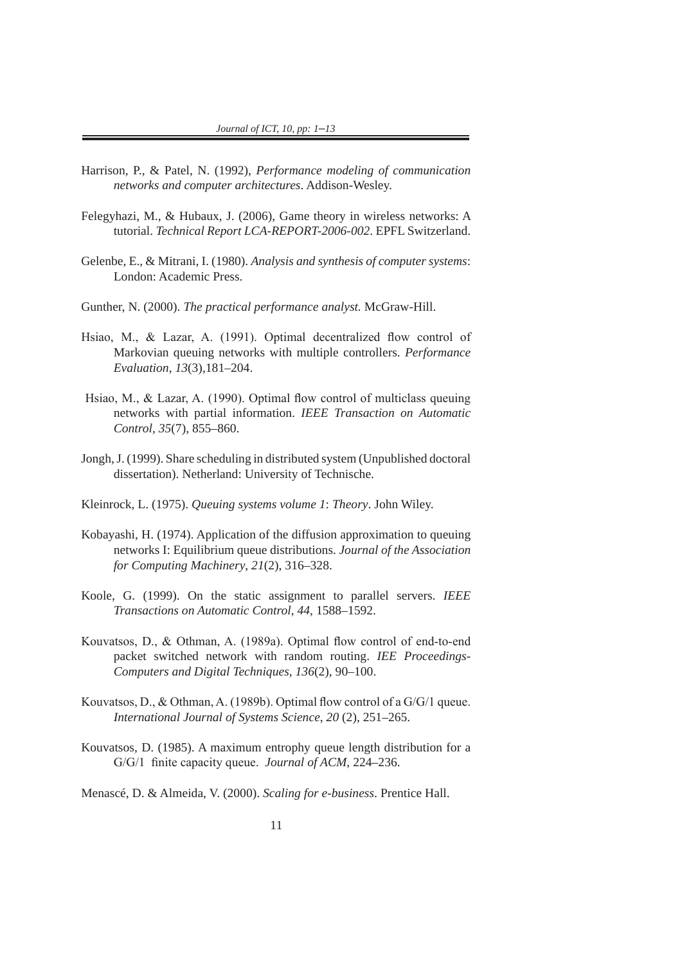- Harrison, P., & Patel, N. (1992), *Performance modeling of communication networks and computer architectures*. Addison-Wesley.
- Felegyhazi, M., & Hubaux, J. (2006), Game theory in wireless networks: A tutorial. *Technical Report LCA-REPORT-2006-002*. EPFL Switzerland.
- Gelenbe, E., & Mitrani, I. (1980). *Analysis and synthesis of computer systems*: London: Academic Press.
- Gunther, N. (2000). *The practical performance analyst.* McGraw-Hill.
- Hsiao, M., & Lazar, A. (1991). Optimal decentralized flow control of Markovian queuing networks with multiple controllers. *Performance Evaluation*, *13*(3),181–204.
- Hsiao, M., & Lazar, A. (1990). Optimal flow control of multiclass queuing networks with partial information. *IEEE Transaction on Automatic Control, 35*(7), 855–860.
- Jongh, J. (1999). Share scheduling in distributed system (Unpublished doctoral dissertation). Netherland: University of Technische.
- Kleinrock, L. (1975). *Queuing systems volume 1*: *Theory*. John Wiley.
- Kobayashi, H. (1974). Application of the diffusion approximation to queuing networks I: Equilibrium queue distributions. *Journal of the Association for Computing Machinery*, *21*(2), 316–328.
- Koole, G. (1999). On the static assignment to parallel servers. *IEEE Transactions on Automatic Control*, *44,* 1588–1592.
- Kouvatsos, D., & Othman, A. (1989a). Optimal flow control of end-to-end packet switched network with random routing. *IEE Proceedings-Computers and Digital Techniques*, *136*(2), 90–100.
- Kouvatsos, D., & Othman, A. (1989b). Optimal flow control of a G/G/1 queue. *International Journal of Systems Science*, *20* (2), 251–265.
- Kouvatsos, D. (1985). A maximum entrophy queue length distribution for a G/G/1 finite capacity queue. *Journal of ACM*, 224–236.

Menascé, D. & Almeida, V. (2000). *Scaling for e-business*. Prentice Hall.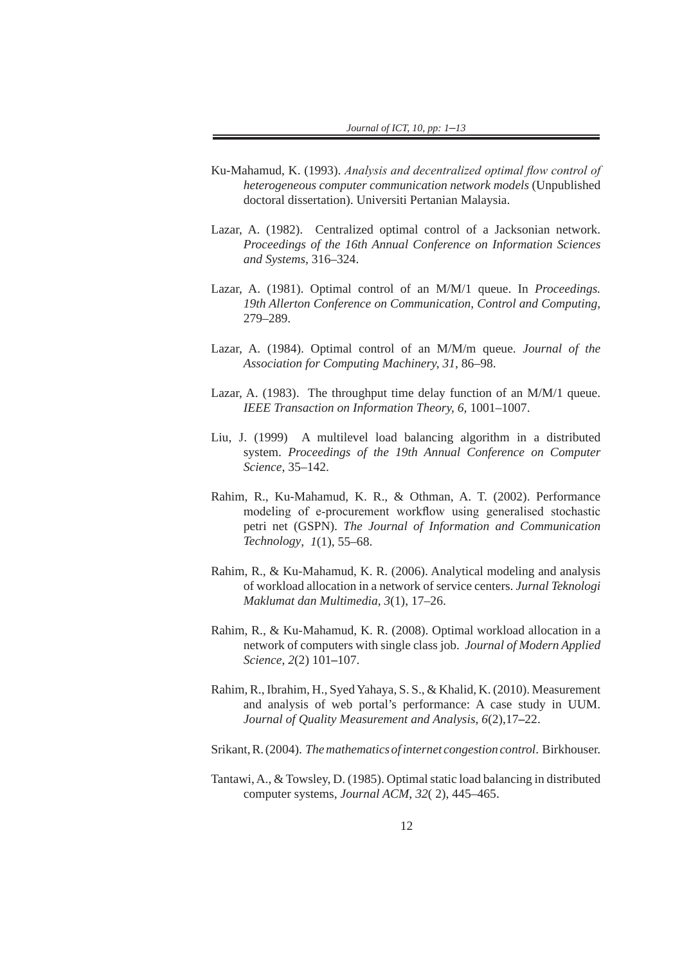- Ku-Mahamud, K. (1993). *Analysis and decentralized optimal flow control of heterogeneous computer communication network models* (Unpublished doctoral dissertation). Universiti Pertanian Malaysia.
- Lazar, A. (1982). Centralized optimal control of a Jacksonian network. *Proceedings of the 16th Annual Conference on Information Sciences and Systems,* 316–324.
- Lazar, A. (1981). Optimal control of an M/M/1 queue. In *Proceedings. 19th Allerton Conference on Communication, Control and Computing,* 279–289.
- Lazar, A. (1984). Optimal control of an M/M/m queue. *Journal of the Association for Computing Machinery, 31,* 86–98.
- Lazar, A. (1983). The throughput time delay function of an M/M/1 queue. *IEEE Transaction on Information Theory, 6,* 1001–1007.
- Liu, J. (1999) A multilevel load balancing algorithm in a distributed system. *Proceedings of the 19th Annual Conference on Computer Science,* 35–142.
- Rahim, R., Ku-Mahamud, K. R., & Othman, A. T. (2002). Performance modeling of e-procurement workflow using generalised stochastic petri net (GSPN). *The Journal of Information and Communication Technology*, *1*(1), 55–68.
- Rahim, R., & Ku-Mahamud, K. R. (2006). Analytical modeling and analysis of workload allocation in a network of service centers. *Jurnal Teknologi Maklumat dan Multimedia*, *3*(1), 17–26.
- Rahim, R., & Ku-Mahamud, K. R. (2008). Optimal workload allocation in a network of computers with single class job. *Journal of Modern Applied Science*, *2*(2) 101**–**107.
- Rahim, R., Ibrahim, H., Syed Yahaya, S. S., & Khalid, K. (2010). Measurement and analysis of web portal's performance: A case study in UUM. *Journal of Quality Measurement and Analysis*, *6*(2),17**–**22.
- Srikant, R. (2004). *The mathematics of internet congestion control*. Birkhouser.
- Tantawi, A., & Towsley, D. (1985). Optimal static load balancing in distributed computer systems, *Journal ACM*, *32*( 2), 445–465.